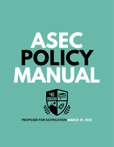# **ASEC POLICY MANUAL**



**PROPOSED FOR RATIFICATION MARCH 21, 2021**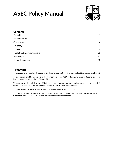

| $\mathbf{1}$   |
|----------------|
| $\overline{2}$ |
| $\overline{4}$ |
| 10             |
| 16             |
| 23             |
| 31             |
| 33             |
|                |

### <span id="page-1-0"></span>Preamble

This manual is referred to in the Alberta Students' Executive Council bylaws and outlines the policy of ASEC.

This document shall be accessible to the membership on the ASEC website, www.albertastudents.ca, and in hardcopy at the registered ASEC home office.

This document is intended to assist ASEC membership in advocating for the Alberta student movement. This document is an internal document not intended to be shared with non-members.

The Executive Director shall keep in their possession a copy of this document.

The Executive Director shall ensure all changes made to this document are fulfilled and posted on the ASEC website no later than ten (10) business days from the date of ratification.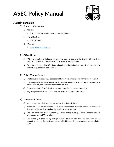

### <span id="page-2-0"></span>Administration

#### **1)** Contact Information

- a) Address:
	- i) 210, 11520-100 Ave NW, Edmonton, AB, T5K 0J7
- b) Phone Number:
	- i) (780) 756-4500
- c) Website:
	- i) [www.albertastudents.ca](http://www.albertastudents.ca)

### **2) Office Hours**

- a) With the exception of holidays, the standard hours of operation for the ASEC Home Office shall be 9:00 am to 4:00 pm (GMT-07:00), Monday through Friday.
- b) Other exceptions to this office hour schedule shall be authorized by the Executive Director and notice given to the membership.

### **3) Policy Manual Review**

- a) The Executive Director shall be responsible for reviewing and revising the Policy Manual.
- b) The Delegates shall, on an annual basis, complete a session with the Executive Director to ensure accuracy and relevance of the ASEC policies.
- c) The revised draft of the Policy Manual shall be ratified at a general meeting.
- d) Any changes to the Policy Manual shall take effect only after ratification.

#### **4) Membership Fees**

- a) Membership Fees shall be collected as described in the Bylaws.
- b) If fees are based on institutional FLE's, the latest numbers reported by the Government of Alberta shall be used to calculate the total cost per institution.
- c) The Fee shall rise by the fifteen (15) year rolling average Alberta inflation rate, in accordance with ASEC's fiscal year.
- d) The fifteen (15) year rolling average Alberta inflation rate shall be calculated as the geometric mean of the most recently available fifteen (15) years of Alberta annual inflation rates.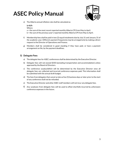

e) The Alberta annual inflation rate shall be calculated as:

**(a-b)/b** Where:

a = the sum of the most recent reported monthly Alberta CPI from May to April.

b = the sum of the previous year's reported monthly Alberta CPI from May to April.

- f) Membership fees shall be paid in two (2) equal instalments due by July 31 and January 31 of the academic year. Different payment frequencies may be arranged only by making a direct request to the Director of Operations and Finance.
- g) Members shall be considered in good standing if they have paid, or have a payment arrangement on file, by the payment deadlines.

#### **5) Delegate Fees**

- a) The delegate fees for ASEC conferences shall be determined by the Executive Director.
- b) Delegate fees will not exceed \$350 (excluding transportation and accommodation) unless approved by the Board of Directors.
- c) The conference surplus/deficit will be determined by the Executive Director once all delegate fees are collected and incurred conference expenses paid. This information shall be submitted with the annual draft budget.
- d) The fees from delegates that cancel as late as five (5) business days or later prior to the start of any conference shall not be refunded.
- e) The Executive Director and other ASEC staff members will not incur any delegate fees.
- f) Any surpluses from delegate fees will be used to offset shortfalls incurred by unforeseen conference expenses in the future.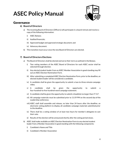

### <span id="page-4-0"></span>Governance

#### **6) Board of Directors**

- a) The incoming Board of Directors (Officers) will participate in a board retreat and receive a copy of the following information:
	- i) ASEC Bylaws;
	- ii) Audited financials;
	- iii) Approved budget and approved strategic document; and
	- iv) Advocacy document.
- b) This transition must occur once the new Board of Directors are elected.

### **7) Board of Directors Elections**

- a) The Board of Directors shall be elected and serve their term as outlined in the Bylaws.
	- i) Two voting members of the ASEC Board of Directors for each ASEC sector shall be selected through election.
	- ii) Any elected student leader from an ASEC Member Association in good standing may fill out an ASEC Election Nomination Form.
	- iii) After submitting a completed ASEC Election Nomination Form, prior to the deadline, an elected student leader will be considered a candidate.
	- iv) A candidate shall be given the opportunity to submit a two-to-three-minute campaign video.
	- v) A candidate shall be given the opportunity to submit a four-hundred-to-five-hundred-word campaign statement.
	- vi) A candidate shall be given the opportunity to submit a headshot no larger than  $3''$  X 2".
	- vii) All campaign materials must be submitted prior to 11:59 PM on the second day of the Leadership conference.
	- viii) ASEC staff shall assemble and release, no later than 24 hours after the deadline, an electronic voting platform to display all candidate campaign materials submitted prior to the deadline.
	- ix) There shall be a voting window of at least two hours for member's delegates to cast their vote.
	- x) Results of the election will be announced shortly after the voting period closes.
- b) ASEC shall make available an ASEC Election Nomination Form to any elected student leader from a Member Association in good standing with the following components:
	- i) Candidate's Name and Title
	- ii) Candidate's Member Association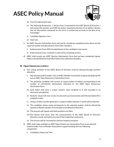

- iii) Five (5) endorsement lines
- iv) The following declaration: "I declare that, if selected for the ASEC Board of Directors, I will accept the position and fulfill the duties required to the best of my ability. I declare that all information contained on this form is truthful and accurate to the best of my knowledge."
- v) Candidate Signature Line.
- vi) Date Line.
- c) An ASEC Election Nomination Form will not be considered completed unless there are the required number of endorsements from other members:
	- i) Endorsements from 50% (rounded down) of the candidate's own sector.
	- ii) Endorsements from a member in each of the remaining sectors.
- d) ASEC shall accept any ASEC Election Nomination Form that has been completed, signed, dated, and submitted to head office before the submission deadline.

#### **8) Open Democracy Lottery**

- a) Two voting members of the ASEC Board of Directors shall be selected through sortition allocation:
	- i) Any elected student leader from an ASEC Member Association in good standing may fill out an ASEC Open Democracy Nomination Form.
	- ii) The potential candidate will receive an equal number of ballots corresponding to the number of self-identity declarations indicated on the ASEC Open Democracy Nomination Form.
	- iii) Each ballot shall have a unique numeric value assigned to it and recorded in an electronic spreadsheet.
	- iv) Numeric values will start at one (1) and work up consecutively until the last ballot (N) is assigned a value.
	- v) Using a random number generator, a unique number between 1 and N will be selected.
	- vi) The candidate whose name corresponds to the selected number shall be offered the position of Board member if not already on the Board of Directors.
	- vii) This process will repeat until both positions are filled.
	- viii) The lottery shall occur after the announcement of the ASEC Board of Directors Elections results, but before the end of the Leadership conference.
	- ix) The process will be recorded for election integrity purposes.
- b) ASEC shall make available an ASEC Open Democracy Nomination Form to any elected student leader from a Member Association in good standing with the following components:
	- i) Candidate's Name and Title.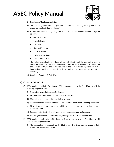

- ii) Candidate's Member Association.
- iii) The following question: "Do you self identify as belonging to a group that is underrepresented in Society due to:"
- iv) A table with the following categories in one column and a check box in the adjacent column:
	- **•** Gender identity
	- Sexual identity
	- Disability
	- Race and/or culture
	- Faith (or no faith)
	- Indigenous heritage
	- Immigration status
- v) The following declaration: "I declare that I self-identify as belonging to the group(s) indicated above. I declare that, if selected for the ASEC Board of Directors, I will accept the position and fulfill the duties required to the best of my ability. I declare that all information contained on this form is truthful and accurate to the best of my knowledge."
- vi) Candidate Signature & Date Line.

#### **9) Chair and Vice Chair**

- a) ASEC shall elect a Chair of the Board of Directors each year at the Board Retreat with the following responsibilities:
	- i) Non-voting unless in the case of a tie vote
	- ii) Presides over Board meetings and ensures proper order
	- iii) May delegate meeting facilitation duties as required
	- iv) Chair of the ASEC Executive Director Compensation and Review Standing Committee
	- v) First designate for media availabilities, press releases, or other external communications
	- vi) Responsible for the Chair email account communications and maintenance
	- vii) Fostering leadership and accountability amongst the Board and Membership
- b) ASEC shall elect a Vice-Chair of the Board of Directors each year at the Board Retreat with the following responsibilities:
	- i) The designated replacement for the Chair should the Chair become unable to fulfill their duties and responsibilities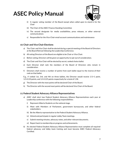

- ii) A regular voting member of the Board except when called upon to stand-in for the Chair
- iii) The Chair of the ASEC Finance Standing Committee
- iv) The second designate for media availabilities, press releases, or other external communications
- v) Responsible for the Vice-Chair email account communications and maintenance

#### **10) Chair and Vice Chair Elections**

- a) The Chair and Vice Chair shall be elected during a special meeting of the Board of Directors at the Board Retreat following the Leadership Conference.
- b) All voting Directors of the Board are eligible to be Chair or Vice Chair.
- c) Before voting, Directors will be given an opportunity to opt-out of consideration.
- d) The Chair and Vice Chair will be elected by secret, ranked choice ballot.
- e) Each Director shall rank the members of the Board of Directors who remain in consideration.
- f) Directors shall receive a number of points from each ballot equal to the inverse of their rank on that ballot.

E.g., if ranked 1st, 3rd, and 4th on three ballots, the Director would receive 1/1=1 point, 1/3=0.33 points, and 1/4=0.25 points respectively for a total of 1.58.

- g) The Director with the most points will be declared Chair of the Board.
- h) The Director with the second most points will be declared Vice Chair of the Board.

#### **11) Federal Student Advocacy Alliance Representatives**

- a) ASEC shall elect two Federal Student Advocacy Alliance Representatives each year at Leadership conference with the following responsibilities:
	- i) Represent Alberta Students on the national stage.
	- ii) Meet with Members of Parliament, government bureaucrats, and other federal stakeholders.
	- iii) Be the Alberta representative to the Federal Student Advocacy Alliance.
	- iv) Attend and participate in regular Lobby Team meetings.
	- v) Submit meeting minutes, advocacy notes, and other relevant documents.
	- vi) Report back to membership on progress and achievements.
- b) An elected Federal Student Advocacy Alliance Representative must complete all required federal advocacy and lobby team training and must become ASEC Federal Advocacy Certified.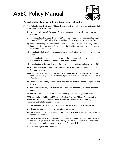

### **12)Federal Student Advocacy Alliance Representative Elections**

- a) The Federal Student Advocacy Alliance Representatives shall be elected and serve their term as outlined in the Bylaws.
	- i) Two Federal Student Advocacy Alliance Representatives shall be selected through election.
	- ii) Any elected student leader from an ASEC Member Association in good standing may fill out an ASEC Federal Student Advocacy Alliance Representatives Nomination Form.
	- iii) After submitting a completed ASEC Federal Student Advocacy Alliance Representatives Nomination Form prior to the deadline, an elected student leader will be considered a candidate.
	- iv) A candidate shall be given the opportunity to submit a two-to-three-minute campaign video.
	- v) A candidate shall be given the opportunity to submit a four-hundred-to-five-hundred-word campaign statement.
	- vi) A candidate shall be given the opportunity to submit a headshot no larger than  $3" X 2"$ .
	- vii) All campaign materials must be submitted prior to 11:59 PM on the second day of the Goals conference.
	- viii) ASEC staff shall assemble and release an electronic voting platform to display all candidate campaign materials submitted prior to the deadline no later than 24 hours after the deadline.
	- ix) There shall be a voting window of at least two hours for member's delegates to cast their vote.
	- x) Voting delegates may cast their ballot on the electronic voting platform once voting opens.
	- xi) Results of the election will be announced shortly after the voting period closes.
- b) ASEC shall make available an ASEC Federal Student Advocacy Alliance Representative Nomination Form to any elected student leader from a Member Association in good standing with the following components:
	- i) The nomination form will require 10 signatures, either electronic or handwritten
	- ii) There must be a minimum of two signatures per sector
	- iii) The nomination form must be submitted no later than five (5) business days before the Leadership conference
	- iv) The following declaration: "I declare that, if selected, I will accept the position and fulfill the duties required to the best of my ability. I declare that all information contained on this form is truthful and accurate to the best of my knowledge."
	- v) Candidate Signature & Date Line.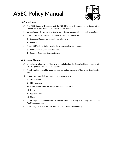

### **13)Committees**

- a) The ASEC Board of Directors and the ASEC Members' Delegates may strike an ad hoc committee for any relevant purpose to ASEC's mission.
- b) Committees will be governed by the Terms of Reference established for each committee.
- c) The ASEC Board of Directors shall have two standing committees:
	- i) Executive Director Compensation and Review;
	- ii) Finance.
- d) The ASEC Members' Delegates shall have two standing committees:
	- i) Equity, Diversity, and Inclusion, and;
	- ii) Board of Governors Representatives.

#### **14)Strategic Planning**

- a) Immediately following the Alberta provincial election, the Executive Director shall draft a strategic plan for membership to approve.
- b) The strategic plan shall be made for a period ending on the next Alberta provincial election date.
- c) The strategic plan shall have the following components:
	- i) SWOT analysis;
	- ii) PEST analysis;
	- iii) Summary of the elected party's policies and platform;
	- iv) Goals;
	- v) Approach, and;
	- vi) Risks.
- d) The strategic plan shall inform the communications plan, Lobby Team, lobby document, and ASEC's advocacy work.
- e) The strategic plan shall not take effect until approved by membership.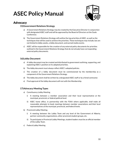

### <span id="page-10-0"></span>Advocacy

### **15)Government Relations Strategy**

- a) A Government Relations Strategy may be created by the Executive Director in conjunction with designated ASEC staff and will be approved by the Board of Directors at the Goals Conference.
- b) The Government Relations Strategy will outline the top priorities of ASEC, as well as the techniques that will be used to achieve the priorities. These techniques may include, but are not limited to lobby weeks, a lobby document, and earned media events.
- c) ASEC will be responsible for the creation of any external policy documents for priorities outlined in the Government Relations Strategy that do not already have corresponding external policy documents.

### **16)Lobby Document**

- a) A lobby document may be created and distributed to government outlining, supporting, and explaining ASEC's position on its adopted priorities.
- b) The lobby document must always reflect ASEC's adopted policies.
- c) The creation of a lobby document must be commissioned by the membership as a component of the Government Relations Strategy.
- d) The lobby document shall be written by a designated ASEC staff or by a hired contractor.
- e) Final approval of the lobby document will rest with the Membership.

### **17)Advocacy Meeting Types**

- a) Constituency Lobby Meeting
	- i) A meeting between a member association and their local representative at the municipal, provincial, or federal political level.
	- ii) ASEC home office, in partnership with the FSAA where applicable, shall make all reasonable attempts to book meetings between member associations and their local representatives at the municipal, provincial, and federal levels.
- b) Provincial Lobby Meeting
	- i) A meeting between the Lobby Team and any level of the Government of Alberta, partner community organizations, other provincial student groups, etc.
	- ii) To participate in Provincial Lobby Meetings, student leaders must be an official member of the Lobby Team.
- c) Federal Lobby Meeting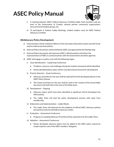

- i) A meeting between ASEC Federal Advocacy Certified Lobby Team members and any level of the Government of Canada, national partner community organizations, intra-provincial student groups, etc.
- ii) To participate in Federal Lobby Meetings, student leaders must be ASEC Federal Advocacy Certified

#### **18)Advocacy Policy Development**

- a) External policy will be related to Alberta's Post-Secondary Education system and will not be used to endorse partisan politics.
- b) External Policy documents will be drafted by ASEC and approved by the Membership.
- c) External Policy documents will represent ASEC's official position and inform the representatives of ASEC in communications with the Government and other agencies.
- d) ASEC will engage in a policy cycle with the following stages:
	- i) Issue Identification Leadership Conference
		- Problems, concerns, and challenges facing the student movement will be identified.
		- Newly identified policy topics will be recorded and put forward for development.
	- ii) Priority Selection Goals Conference
		- Advocacy priorities for the year shall be selected from the developed policies in the ASEC Policy Manual.
		- The chosen priorities for the year shall be used in the creation of the annual lobby document and shall inform the work of the lobby team.
	- iii) Development Ongoing
		- Advocacy topics which have been identified as significant will be developed into official policy.
		- The Lobby Team will lead the policy development process with input from membership.
	- iv) Elaboration and Implementation Lobby Weeks
		- The Lobby Team will advocate for the adoption of official ASEC advocacy policies during the provincial and federal advocacy weeks.
	- v) Evaluation Assessment Conference
		- Progress on standing Advocacy Priorities will be reported on by the Lobby Team.
	- vi) Adoption Assessment Conference
		- Newly developed advocacy policy must be added to the ASEC policy manual by simple majority vote of the ASEC members' delegates.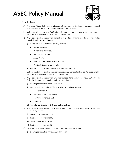

### **19)Lobby Team**

- a) The Lobby Team shall meet a minimum of once per month either in person or through teleconferencing, except for the months of May and December.
- b) Only student leaders and ASEC staff who are members of the Lobby Team shall be permitted to participate in Provincial Lobby meetings.
- c) Any elected student leader from a member in good standing may join the Lobby team after completing all listed requirements:
	- i) Complete all required ASEC training courses:
		- Media Relations;
		- Professional Advocacy;
		- ASEC Fundamentals;
		- ASEC Policy;
		- History of the Student Movement, and;
		- Political Science Fundamentals.
	- ii) Apply for Lobby Team status with the ASEC home office.
- d) Only ASEC staff and student leaders who are ASEC Certified in Federal Advocacy shall be permitted to participate in Federal Lobby meetings.
- e) Any elected student leader from a member in good standing may become ASEC Certified in Federal Advocacy after completing all listed requirements:
	- i) Be a regular member of the Lobby Team.
	- ii) Complete all required ASEC Federal Advocacy training courses:
		- Federal Jurisdiction;
		- Federal Political Environment:
		- FSAA Fundamentals, and;
		- FSAA Policy.
	- iii) Apply for certification with the ASEC home office.
- f) Any elected student leader from a member in good standing may become ASEC Certified in the following areas:
	- i) Open Educational Resources;
	- ii) Postsecondary Affordability;
	- iii) Student Mental Health, and;
	- iv) Postsecondary Accessibility.
- g) To be ASEC Certified in a particular policy area a student leader must:
	- i) Be a regular member of the ASEC Lobby team;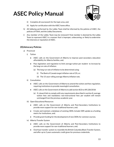

- ii) Complete all coursework for the topic area, and;
- iii) Apply for certification with the ASEC home office.
- h) All lobbying performed by the Lobby Team shall be informed by the policies of ASEC, the policies of FSAA, and the Lobby Documents.
- i) Any member of the Lobby Team may be removed if that member is deemed by the Lobby Team to represent ASEC in a manner that is improper, unbecoming, or likely to undermine the interests or reputation of ASEC.

#### **20)Advocacy Policies**

- a) Provincial
	- i) Tuition
		- ASEC calls on the Government of Alberta to improve post-secondary education affordability for Alberta families, and;
		- Pass legislation and regulation to limit average tuition per student to increase by the long run rate of inflation:
			- (a) The long run rate of inflation to be determined using:
				- (i) The Bank of Canada target inflation rate of 2%, or;
				- (ii) The 15-year rolling average Alberta inflation rate.
	- ii) Consultation
		- ASEC calls on the Government of Alberta to amend the tuition and fees regulation, requiring institutions to provide meaningful consultation.
		- ASEC calls on the Government of Alberta to add section 8(3) to AR 228/2018:
			- (a) If a board fails to comply with any requirements described in section 8, average tuition fees and mandatory non-instructional fees per student will remain unchanged from the previous academic year.
	- iii) Open Educational Resources
		- ASEC calls on the Government of Alberta and Post-Secondary Institutions to provide more support for non-traditional learners, and;
		- Create and maintain a database of existing OERs Include OER uptake as a funding metric for institutions, and;
		- Provide grant funding for the development of new OERs for common courses.
	- iv) Alberta Transfer System
		- ASEC calls on the Government of Alberta and Post-Secondary Institutions to provide more support for non-traditional learners, and;
		- Overhaul transfer system to resemble the British Columbia Block Transfer System, and offer up to 2 years automatic credit given for previous credentials.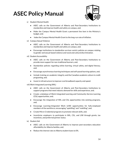

- v) Student Mental Health
	- ASEC calls on the Government of Alberta and Post-Secondary Institutions to standardize and improve health and safety on campus, and;
	- Make the Campus Mental Health Grant a permanent line item in the Ministry's budget, and;
	- Index the Campus Mental Health Grant to the long-run rate of inflation.
- vi) Campus Sexual Violence
	- ASEC calls on the Government of Alberta and Post-Secondary Institutions to standardize and improve health and safety on campus, and;
	- Encourage institutions to standardize survivor-centric policies on campus relating to gender and sexual-based violence and racial and cultural discrimination.
- vii) Student Accessibility
	- ASEC calls on the Government of Alberta and Post-Secondary Institutions to provide more support for non-traditional learners, and;
	- Standardize policies regarding online learning, virtual safety, and digital literacy, and;
	- Encourage asynchronous learning techniques and self-paced learning options, and;
	- Include training on academic integrity and the Canadian academic culture in credit programing, and;
	- Invest in infrastructure to improve rural broadband capacity and speed.

viii) Work Integrated Learning (WIL)

- ASEC calls on the Government of Alberta and Post-Secondary Institutions to support programs that meet industry demand for skills and experience, and;
- Create a database of Work-Integrated Learning and Community-Service Learning (CSL) opportunities, and;
- Encourage the integration of WIL and CSL opportunities into existing programs, and;
- Encourage Learning-Integrated Work (LIW) opportunities for fully-employed members of the workforce, encouraging "upskilling" and "reskilling", and;
- Create Micro-Credential programs to promote relevant skills, and;
- Incentivize employers to participate in WIL, CSL, and LIW through grants, tax incentives, and preferred partner status.
- ix) Student Aid
	- ASEC calls on the Government of Alberta to improve post-secondary education affordability for Alberta families, and;
	- Reduce the interest rate on Alberta student loans to 0%.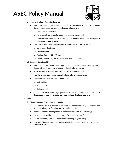

- x) Alberta Graduate Retention Program
	- ASEC calls on the Government of Alberta to implement the Alberta Graduate Retention tax rebate for resident Alberta graduates who:
		- (a) reside and work in Alberta;
		- (b) have recently completed a recognized credit program, and;
		- (c) have obtained a certificate, diploma, applied degree, undergraduate degree, or journeyperson certification.
	- The program must offer the following tax incentives over ten (10) years:
		- (a) Certificate \$300/year
		- (b) Diploma \$640/year
		- (c) Applied Degree \$1,500/year
		- (d) Undergraduate Degree/Trades Certificate \$2,000/year
- xi) Systemic Sustainability
	- ASEC calls on the Government to provide stability to the post-secondary system through streamlined governance and sustainable funding, and;
	- Maintain or increase operational funding at current levels, and;
	- Index funding to the long-run rate of inflation plus enrolment, and;
	- Streamline the current 6 sector model into:
		- (a) Universities;
		- (b) Polytechnics;
		- (c) Colleges, and;
	- Create a sector-wide strategic governance layer that allows for institutions to share resources, combine similar services, and coordinate collaboration.
- b) Federal
	- i) That the Federal Government of Canada implement:
		- The creation of an expedited pathway to permanent residency for international student graduates of Canadian post-secondary institutions;
		- Increased support for indigenous students and increased PSSSP funding;
		- Investment in rural broadband internet infrastructure across Canada;
		- The creation of a paid Canadian student internship program, and;
		- Removal of interest payments on Canadian federal student loans, and student loan procedure reform.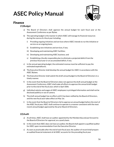

### <span id="page-16-0"></span>Finance

#### **21)Budget**

- a) The Board of Directors shall approve the annual budget for each fiscal year at the Assessment Conference as per Bylaw.
- b) The operating budget is the manner in which ASEC will manage its financial resources during the course of a fiscal year including:
	- i) Providing ongoing initiatives and services where ASEC intends to run the initiative or service on an ongoing basis;
	- ii) Establishing new initiatives and services, if any;
	- iii) Developing and maintaining ASEC facilities;
	- iv) Developing and maintaining ASEC business; and
	- v) Establishing a fiscally responsible plan to eliminate a projected deficit from the previous fiscal year or an accumulated deficit, if any.
- c) In the annual operating budget, the estimated revenue must be sufficient to pay the estimated expenditures.
- d) The Executive Director shall develop the annual budget for ASEC in accordance with the ASEC Bylaws.
- e) The Executive Director shall submit the draft annual budget to the Board of Directors in a timely manner.
- f) In the event that the Board of Directors does not approve the draft annual budget at the Assessment Conference, ASEC shall make all efforts to approve the annual draft budget prior to the end of the fiscal year, which is April 30th.
- g) Individual salaries and wages of ASEC employees is privileged information and shall not be disclosed publicly or out of camera.
- h) The draft annual budget has no effect until it has been ratified by the Board of Directors, and the new fiscal year takes effect on May 1st.
- i) In the event that the Board of Directors fail to approve an annual budget before the start of the ASEC fiscal year, ASEC shall continue to operate in a manner consistent with the most recent annual budget approved by the prior Board of Directors.

### **22)Audit**

- a) At all times, ASEC shall have an auditor appointed by the Membership and put forward to the Board of Directors for approval, on a yearly basis.
- b) In the event that ASEC does not have an auditor, the Board shall appoint a qualified auditor for ASEC upon recommendation from the Executive Director.
- c) As soon as practicable after the end of each fiscal year, the auditor of record shall prepare an audited financial statement of all ASEC accounts for the preceding fiscal year.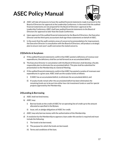

- d) ASEC will take all measures to have the audited financial statements ready to present to the Board of Directors for approval at the Leadership Conference. In the event that the audited financial statements are not prepared for the Board of Directors' approval at the Leadership Conference, ASEC shall have audited financial statements to the Board of Directors for approval no later than the Goals Conference.
- e) Upon approval of the audited financial statements by the Board of Directors, the Executive Director and the third-party accountant shall sign those statements on behalf of ASEC.
- f) In the event that the audit contains areas of concerns/recommendations for improvement, the Executive Director in consultation with the Board of Directors, will produce a strategic plan to ensure next year's audit overcomes the stated concerns.

#### **23)Deficits & Surpluses**

- a) If the audited financial statements confirm that ASEC posted a deficiency of revenue over expenditures, the deficiency shall be carried forward as an accumulated deficit.
- b) The Executive Director in consultation with the Board of Directors shall develop a fiscally responsible plan to eliminate the accumulated deficit. This plan shall be submitted for presentation to the Membership at a General Meeting.
- c) If the audited financial statements confirm that ASEC has posted a surplus of revenues over expenditures in a given year, ASEC shall use the surplus funds as follows:
	- i) If ASEC has an accumulated deficit, to eliminate the accumulated deficit; and
	- ii) If surplus funds remain after the accumulated deficit has been eliminated, the remaining funds are to be put into either low-risk investment funds or used for special projects approved by the Membership.

#### **24)Lending & Borrowing**

- a) ASEC shall not lend money.
- b) ASEC may:
	- i) Borrow funds on the credit of ASEC for an operating line of credit up to the amount allocated as specified in the Bylaws;
	- ii) Issue, sell, or pledge obligations of ASEC for credit.
- c) ASEC may only borrow money with the authorization of the Membership.
- d) A resolution by the Membership to approve a loan under this section is required and must include the following:
	- i) The funds to be borrowed;
	- ii) The purpose for which the funds are borrowed;
	- iii) Terms and conditions of the loan;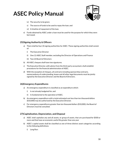

- iv) The security to be given;
- v) The source of funds to be used to repay the loan; and
- vi) A timeline of repayment of the loan.
- e) Funds obtained by ASEC under a loan must be used for the purpose for which they were borrowed.

#### **25)Signing Authority & Officers**

- a) There shall be four (4) signing authorities for ASEC. These signing authorities shall consist of:
	- i) The Executive Director
	- ii) One (1) ASEC Staff member, excluding the Director of Operations and Finance
	- iii) Two (2) Board of Directors
- b) All ASEC cheques shall have two signatures.
- c) The Executive Director, with advice from the third-party accountant, shall establish procedures for the financial administration of ASEC.
- d) With the exception of cheques, all contracts including sponsorship contracts, memorandums of understanding, leases and all other legal documents must be jointly signed by the Executive Director and the Board of Directors.

#### **26)Emergency Expenditures**

- a) An emergency expenditure is classified as an expenditure which:
	- i) Is not already budgeted for, and
	- ii) Is fundamental to the operation of ASEC.
- b) An emergency expenditure with a total estimated cost less than ten thousand dollars (\$10,000) may be authorized by the Executive Director.
- c) For emergency expenditures greater than ten thousand dollars (\$10,000), the Board of Directors must be consulted.

#### **27)Capitalization, Depreciation, and Disposal**

- a) ASEC shall capitalize any and all assets, or group of assets, that are purchased for \$500 or more and that have an economic useful life greater than one year
- b) ASEC's capital assets shall be classified as one of three distinct asset categories according to the following definitions:
	- i) Long Run: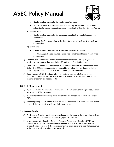

- Capital assets with a useful life greater than five years.
- Long Run Capital Assets shall be depreciated using the relevant rate of Capital Cost Allocation for the corresponding class as defined by the Canadian Revenue Agency.
- ii) Medium Run:
	- Capital assets with a useful life less than or equal to five years but greater than three years.
	- Medium Run Capital Assets shall be depreciated using the straight-line method of depreciation.
- iii) Short Run:
	- Capital assets with a useful life of less than or equal to three years.
	- Short Run Capital Assets shall be depreciated using the double declining method of depreciation.
- c) The Executive Director shall submit a recommendation for required capital goods or services in excess of five thousand dollars (\$5,000) to the Board of Directors.
- d) The Board of Directors shall have the power to approve expenditures up to ten thousand dollars (\$10,000) per recommendation, expenditures higher than ten thousand dollars (\$10,000) per recommendation shall be approved by the Membership.
- e) Once property of ASEC has been fully amortized and is rendered of no use to the organization, it shall be disposed of in the most economical friendly fashion within the confines of economical disposal costs.

#### **28)Cash Management**

- a) ASEC shall maintain a minimum of two months of the average working capital requirements as cash in the ASEC current account.
- b) All other liquid funds remaining in the current account will be used to purchase cashable GICs.
- c) At the beginning of each month, cashable GICs will be redeemed in an amount required to replenish the two-month working capital requirement.

#### **29)Reserve Funds**

- a) The Board of Directors must approve any changes to the usage of the externally restricted reserve and investment funds in advance by special resolution.
- b) In accordance with Canadian Generally Accepted Accounting Principles (GAAP), any revenue, except grants, received but not expended in a particular fiscal year must be invested in accordance with the organization's investment policy and recorded as revenue in the year in which expenditures are incurred.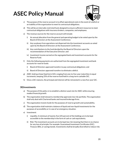

- c) The purpose of the reserve account is to offset operational costs in the event of a deficit or an inability of the organization to meet its contractual obligations.
- d) This will be an internally restricted fund, designed to ensure sufficient resources to meet contractual obligations with insurance brokers, companies, and employees.
- e) The revenue sources for the reserve account will include:
	- i) An annual allocation from the general and operating budget to be voted upon by the Board of Directors at the Assessment Conference;
	- ii) Any surpluses from operations not dispersed into the investment accounts as voted upon by the Board of Directors at the Assessment Conference;
	- iii) Any contributions to the fund decided by the Board of Directors upon the recommendation of the Executive Director; and
	- iv) Investment income earned on the segregated bank and investment accounts for the Reserve Fund.
- f) Only the following payments are authorized from the segregated investment and bank accounts for reserve funds:
	- i) Board of Directors approved transfers to pay contractual obligations; and
	- ii) Board of Directors approved transfers to eliminate a deficit.
- g) ASEC shall purchase fixed term GICs ranging from one-to-five-year maturities in equal increments, keeping 25% of the reserve fund held in a long-term cashable GIC.
- h) Once a GIC matures, the principal and interest will be reinvested in a new five-year GIC.

#### **30)Investments**

- a) The purpose of this policy is to establish a distinct asset mix for ASEC while ensuring modest financial growth.
- b) The organization shall steward a membership approved, low risk portfolio. The organization shall only deal with Chartered banks and insured brokerage firms.
- c) The organization invests funds for the purposes of reserve growth and sustainability.
- d) The organization shall maintain a balance of liquid and non-liquid investments for the purposes of accessibility or in case of an emergency situation.
- e) Investment:
	- i) Liquidity: A minimum of twenty-five (25) percent of the holdings are to be kept accessible to the membership in the form of cash or cash equivalents;
	- ii) Risk: The investment accounts are to be kept low risk meaning that there is no chance for any loss of principle. For example: Guaranteed Investment Certificates (GIC), Treasury Bills, or savings bonds. Investments shall be broadly diversified to reduce risk;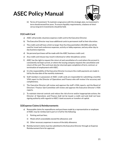

iii) Terms of Investment: To maintain congruence with the strategic plan, no investment's term should exceed five years. To ensure liquidity requirements, a balance of short versus long term investments should be held.

### **31)Credit Card**

- a) ASEC will provide a business expense credit card to the Executive Director.
- b) The Executive Director may issue additional cards to permanent staff at their discretion.
- c) The credit card will have a limit no larger than five thousand dollars (\$5,000) and will be used for travel and conference expenses, activity or lobby expenses, and any other day to day business expenses.
- d) No personal purchases will be made with the ASEC business credit card.
- e) Any credit card misuse may result in dismissal or other disciplinary action.
- f) ASEC has the right to request the return of and cancellation of a card where the account is consistently not kept current, or where the issuing company requests the cancellation and return of the card. The card must also be returned upon completion of term, contract, or termination of employment with ASEC.
- g) It is the responsibility of the Executive Director to ensure the credit payments are made in full by the due date of the monthly statement.
- h) Staff members in possession of ASEC credit cards are responsible for submitting a monthly VISA report to the Director of Operations and Finance who will review it for accuracy and completeness.
- i) The Executive Director will review and approve the staff's VISA reports, and the Board of Directors' Finance Sub-Committee will review and approve the Executive Director's VISA reports.
- j) To maintain internal controls and reduce the risk of error and/or inappropriate actions, the Director of Operations and Finance shall not be issued a credit card and shall not have signing authority with regards to ASEC's bank accounts or transfers of capital.

#### **32)Expense Claims & Reimbursements**

- a) Reasonable claims for expenditures and purchases made by a representative or employee of ASEC may be reimbursed in part or in full for the following:
	- i) Parking and taxi fees;
	- ii) Meals which unavoidably exceed the allowance; and
	- iii) Other necessary expenses in excess of the daily allowance.
- b) Reimbursement claims must be submitted to the Executive Director through an Expense Reimbursement form for approval.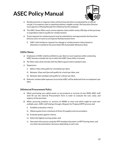

- c) Reimbursements or expense claims will be honoured when accompanied by an official receipt. If an expense claim is submitted without a legible receipt, the Executive Director must approve a Missing Receipt Form filled out by the employee.
- d) The ASEC Home Office must receive expense claims within ninety (90) days of the purchase or expenditure date to qualify for reimbursement.
- e) Travel requests for reimbursement must be submitted to and approved by the Executive Director prior to travel on an Expense Reimbursement form
	- i) ASEC shall reimburse requests for mileage or reimbursement claims based on kilometers travelled at the prescribed CRA Automobile Allowance Rate.

#### **33)Per Diems**

- a) Employees of ASEC shall be entitled to a per diem to cover expenses while conducting ASEC business outside the city in which the ASEC home office is located.
- b) Per Diem rates shall coincide with the Alberta government standard rates.
- c) Departures:
	- i) Before 10am will qualify for a breakfast per diem;
	- ii) Between 10am and 2pm will qualify for a lunch per diem; and
	- iii) Between 4pm and 8pm will qualify for a dinner per diem.
- d) Relevant reimbursable expenses incurred by ASEC will be deducted from an employee's per diem.

#### **34)Internal Procurement Policy**

- a) When purchasing any capital assets, or any products or services of over \$500, ASEC staff shall fill out the Internal Procurement Form in order to evaluate the cost, value, and urgency of the purchase.
- b) When procuring products or services of \$4000 or more and which might be used over multiple years, ASEC staff shall go through a Request for Proposal (RFP) process and:
	- i) Establish evaluation criteria;
	- ii) Obtain quotes from a minimum of three (3) suppliers/service providers;
	- iii) Evaluate quotes against criteria;
	- iv) Select the highest scoring vendor, and;
	- v) Document this process using the RFP template document, an RFP Scoring sheet, and any other documentation necessary depending on each case.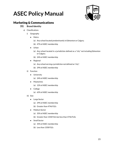

### <span id="page-23-0"></span>Marketing & Communications

### **35) Brand Identity**

- a) Classifications
	- i) Geography
		- Metro
			- (a) Any school located predominantly in Edmonton or Calgary.
			- (b) 47% of ASEC membership
		- Urban
			- (a) Any school located in a jurisdiction defined as a "city" not including Edmonton or Calgary.
			- (b) 24% of ASEC membership
		- Regional
			- (a) Any school serving a jurisdiction not defined as "city".
			- (b) 29% of ASEC membership
	- ii) Function
		- University
			- (a) 24% of ASEC membership
		- Polytechnic
			- (a) 12% of ASEC membership
		- College
			- (a) 65% of ASEC membership
	- iii) Size
		- Large Sector
			- (a) 29% of ASEC membership
			- (b) Greater than 4746 FLEs
		- Medium Sector
			- (a) 35% of ASEC membership
			- (b) Greater than 1358 FLEs but less than 4746 FLEs
		- Small Sector
			- (a) 35% of ASEC membership
			- (b) Less than 1358 FLEs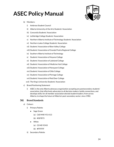

- b) Members:
	- i) Ambrose Student Council
	- ii) Alberta University of the Arts Students' Association
	- iii) Concordia Students' Association
	- iv) Lethbridge College Students' Association
	- v) Northern Alberta Institute of Technology Students' Association
	- vi) Northern Lakes College Students' Association
	- vii) Students' Association of Bow Valley College
	- viii) Students' Association of Grande Prairie Regional College
	- ix) Southern Alberta Institute of Technology
	- x) Students' Association of Keyano College
	- xi) Students' Association of Lakeland College
	- xii) Students' Association of Medicine Hat College
	- xiii) Students' Association of Norquest College
	- xiv) Students' Association of Olds College
	- xv) Students' Association of Portage College
	- xvi) Students' Association of Red Deer College
	- xvii) The King's University Students' Association
- c) Brand Positioning Statement
	- i) ASEC is the only Alberta advocacy organization accepting any postsecondary students' association; that effectively advocates to all decision makers; builds connections, and develops skills; for all member association elected student leaders; from across Alberta; to shape the future of Alberta's post-secondary sector; since 1982.

#### **36) Brand Standards**

- a) Colours
	- i) Primary Palette
		- Sage Green
			- (a) C60 M40 Y51 K13
			- (b) #587873
		- White
			- (a) C0 M0 Y0 K0
			- (b) #FFFFFF
	- ii) Secondary Palette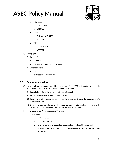

- **Mint Green** 
	- (a) C59 M7 Y38 K0
	- (b) #69B9AA
- Black
	- (a) C60 M60 Y60 K100
	- (b) #000000
- White
	- (a) C0 M0 Y0 K0
	- (b) #FFFFFF
- b) Typography
	- i) Primary Font
		- Fairview
		- losttype.com/font/?name=fairview
	- ii) Secondary Font
		- Lato
		- fonts.adobe.com/fonts/lato

### **37) Communications Plan**

- a) Upon receiving communication which requires an official ASEC statement or response, the Public Relations and Advocacy Director or designate, shall:
	- i) Immediately inform the Executive Director of receipt;
	- ii) Provide a brief summary of said communication;
	- iii) Provide a draft response, to be sent to the Executive Director for approval and/or amendment, and;
	- iv) Determine the expediency of the response, incorporate feedback, and make the necessary changes before sending to any external organizations.
- b) Major Stakeholder Communications Strategies:
	- i) Government
		- Goals & Objectives:
			- (a) Build Relationships;
			- (b) Have the Government adopt advocacy policy developed by ASEC, and;
			- (c) Establish ASEC as a stakeholder of consequence in relation to consultation with Government.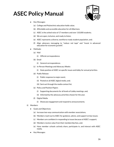

- **Key Messages:** 
	- (a) College and Polytechnic education holds value;
	- (b) Affordable and accessible education for all Albertans;
	- (c) ASEC is the united voice of 17 members and over 110,000 students;
	- (d) We are open, inclusive, and ready to listen;
	- (e) ASEC represents a diverse, workforce ready student population, and;
	- (f) Align advocacy messaging to "reduce red tape" and "invest in advanced education for economic growth".
- Methods:
	- (a) Mail
		- (i) Official correspondence.
	- (b) Email
		- (i) General correspondence.
	- (c) In-Person Meetings and Advocacy Weeks
		- (i) State position of ASEC on specific issues and lobby for annual priorities.
	- (d) Public Release
		- (i) Public response to major event;
		- (ii) Posted on all ASEC digital media, and;
		- (iii) Sent out through the media contact list.
	- (e) Policy and Position Papers
		- (i) Supporting documents for all levels of Lobby meetings, and;
		- (ii) Informed by the advocacy priorities chosen for the year.
	- (f) Digital Media
		- (i) Showcase engagement and respond to announcements.
- ii) Members
	- Goals and Objectives:
		- (a) Increase two-way communication with member associations,
		- (b) Members reach out to ASEC for guidance, advice, and support on key issues;
		- (c) Members are confident in responding to issues because of ASEC's support;
		- (d) Members receive value from their membership fees, and;
		- (e) Have member schools actively share, participate in, and interact with ASEC media.
	- Key Messages: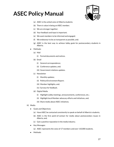

- (a) ASEC is the united voice of Alberta students;
- (b) There is value in being an ASEC member;
- (c) We are stronger together;
- (d) Your feedback and input is important;
- (e) We want members to be informed and engaged;
- (f) We endeavour to be as transparent as possible, and;
- (g) ASEC is the best way to achieve lobby goals for postsecondary students in Alberta.
- Methods:
	- (a) Mail
		- (i) Formal documents and notices.
	- (b) Email
		- (i) General correspondence;
		- (ii) Conference updates, and;
		- (iii) Government relations updates.
	- (c) Newsletter
		- (i) Monthly updates;
		- (ii) Political Environment Report;
		- (iii) Member highlights, and;
		- (iv) Surveys for feedback.
	- (d) Digital Media
		- (i) Highlight Lobby meetings, announcements, conferences, etc.;
		- (ii) Highlight local Member advocacy efforts and initiatives, and;
		- (iii) Share media about ASEC initiatives.
- iii) Media
	- Goals and Objectives:
		- (a) Have ASEC be contacted consistently to speak on behalf of Alberta's students;
		- (b) ASEC is the first point-of-contact for media about postsecondary issues in Alberta, and;
		- (c) Gain a positive reputation in the media industry.
	- Key Messages:
		- (a) ASEC represents the voice of 17 members and over 110,000 students.
	- Methods: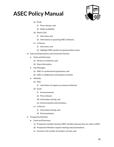

- (a) Email:
	- (i) Press releases, and;
	- (ii) Media availability.
- (b) Phone Calls:
	- (i) Interviews, and;
	- (ii) Information on upcoming ASEC initiatives.
- (c) In-Person:
	- (i) Interviews, and;
	- (ii) Highlight ASEC position on postsecondary issues.
- iv) External Organizations and Community Partners
	- Goals and Outcomes:
		- (a) Partner on initiatives, and;
		- (b) Share information.
	- Key Messages:
		- (a) ASEC is a professional organization, and;
		- (b) ASEC is collaborative and solutions oriented.
	- Methods:
		- (a) Mail:
			- (i) Joint letters of support on common initiatives.
		- (b) Email:
			- (i) Announcements;
			- (ii) Press releases;
			- (iii) Information sharing, and;
			- (iv) Event promotion and invitations.
		- (c) In-Person:
			- (i) Information sharing, and;
			- (ii) Event promotion.
- v) Prospective Members
	- Goals and Outcomes:
		- (a) Prospective members become ASEC members because they see value in ASEC;
		- (b) Prospective Members request meetings and presentations;
		- (c) Increase in the number of members we have, and;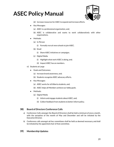

- (d) Increase resources for ASEC to expand and increase efforts.
- **Key Messages:** 
	- (a) ASEC is a professional organization, and;
	- (b) ASEC is collaborative and wants to work collaboratively with other organizations.
- Methods:
	- (a) In-Person
		- (i) Formally recruit new schools to join ASEC.
	- (b) Email
		- (i) Share ASEC initiatives or campaigns.
	- (c) Digital Media
		- (i) Highlight what work ASEC is doing, and;
		- (ii) Impact ASEC has on members.
- vi) Students at Large
	- Goals and Outcomes:
		- (a) Increase brand awareness, and;
		- (b) Students recognize ASEC advocacy efforts.
	- Key Messages:
		- (a) ASEC works for all Alberta students, and;
		- (b) ASEC helps all Members achieve our lobby goals.
	- Methods:
		- (a) Digital Media
			- (i) Inform and engage students about ASEC, and;
			- (ii) Collect feedback from students to better inform policy.

#### **38) Board of Directors Conference Calls**

- a) Conference Calls amongst the Board of Directors shall be held a minimum of once a month, with the exception of the month of May and December and will be initiated by the Executive Director.
- b) Conference calls amongst ad-hoc committees shall be held as deemed necessary, and shall be initiated by the appointed chair of that committee.

#### **39) Membership Updates**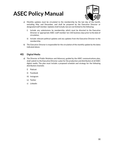

- a) Monthly updates must be circulated to the membership by the last day of the month, excluding May and December, and shall be prepared by the Executive Director or designated staff member. Updates shall include, but are not limited to the following:
	- i) Include any submissions by membership, which must be directed to the Executive Director or appropriate ASEC staff member ten (10) business days prior to the date of circulation;
	- ii) Include relevant political updates and any updates from the Executive Director to the membership.
- b) The Executive Director is responsible for the circulation of the monthly update by the dates indicated above.

### **40) Digital Media**

- a) The Director of Public Relations and Advocacy, guided by the ASEC communications plan, shall submit to the Executive Director a plan for the production and distribution of all ASEC digital media. The plan must include a proposed schedule and strategy for the following distribution channels:
	- i) Podcast
	- ii) Facebook
	- iii) Instagram
	- iv) Twitter
	- v) Linkedin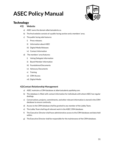

### <span id="page-31-0"></span>**Technology**

#### **41) Website**

- a) ASEC owns the domain albertastudents.ca.
- b) The final website consists of a public facing section and a members' area.
- c) The public facing side features:
	- i) Press releases;
	- ii) Information about ASEC
	- iii) Digital Media Releases
	- iv) Contact Information
- d) The members' area features:
	- i) Voting Delegate Information
	- ii) Board Member Information
	- iii) Foundational Documents
	- iv) Advocacy Documents
	- v) Training
	- vi) CRM Access
	- vii) Digital Media

#### **42)Contact Relationship Management**

- a) ASEC maintains a CRM database at albertastudents.apollohq.com.
- b) The database is filled with contact information for individuals with whom ASEC has regular dealings.
- c) Conversations, projects, commitments, and other relevant information is stored in the CRM database to ensure continuity.
- d) Access to the CRM database shall be granted to any member of the Lobby Team.
- e) The Lobby Team shall log all relevant work in the ASEC CRM database.
- f) The Executive Director shall have administrative access to the CRM database and data held within.
- g) The Executive Director shall be responsible for the maintenance of the CRM database.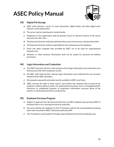

### **43) Digital File Storage**

- a) ASEC shall maintain a server to store documents, digital media, and other digital work relevant to the organization.
- b) The server may be cloud based or hosted locally.
- c) Employees of the organization shall be granted access to relevant sections of the server necessary for their roles.
- d) The Executive Director shall have administrative access to the server and data held within.
- e) The Executive Director shall be responsible for the maintenance of the database.
- f) Email and other computer files provided by ASEC are to be used for organizational purposes only.
- g) Software or other business information shall not be copied for personal use without permission.

### **44) Login Information and Credentials**

- a) The ASEC Executive Director shall maintain a file of login information and credentials to be held securely with other employee records.
- b) All ASEC staff shall log their relevant login information and credentials for any accounts related to their ASEC portfolios.
- c) All computer passwords and codes must be available to ASEC at all times.
- d) ASEC reserves the right to enter, search, and monitor the computer files or email of any employee, without advance notice, for organizational purposes such as investigating theft, disclosure of confidential business or proprietary information, personal abuse of the system, or monitoring work flow or productivity.

### **45) Employee Purchase Program**

- a) Subject to approval from the Executive Director, an ASEC employee may purchase ASEC IT hardware that is at or nearing the end of its useful life.
- b) The price paid by the employee for the IT hardware shall be the corresponding remaining book value recorded in ASEC's financial system plus \$50.
- c) The IT hardware may be paid for through a payroll deduction from the employee's pay.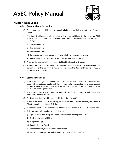

### <span id="page-33-0"></span>Human Resources

#### **46) Personnel Administration**

- a) The primary responsibility for personnel administration shall rest with the Executive Director.
- b) The Executive Director shall maintain working personnel files with the registered ASEC home office on all full-time, part-time, and contract employees with respect to the following:
	- i) Staff evaluations;
	- ii) Position profiles;
	- iii) Employment contracts;
	- iv) Information relating to the administration of all staff benefits and plans;
	- v) Records pertaining to vacation days, sick days, and other absences.
- c) All payroll functions shall be the responsibility of the Executive Director.
- d) Primary responsibility for personnel administration related to the employment and performance of the Executive Director shall rest with the Board of Directors of ASEC as prescribed in ASEC bylaws.

#### **47) Staff Recruitment**

- a) Prior to the posting of an available staff position within ASEC, the Executive Director (ED), along with the outgoing employee (when appropriate) will complete a comprehensive audit of the position specifications to ensure that the staff function is current and relevant to the functioning of the organization.
- b) In the event that a new position is required, the Executive Director will develop an appropriate position profile.
- c) The Executive Director will be responsible for hiring new staff.
- d) In the event that ASEC is recruiting for the Executive Director position, the Board of Directors shall adhere to ASEC's bylaws.
- e) All available positions will be externally advertised for a minimum of ten (10) business days.
- f) All job postings will contain all of the following:
	- i) Qualifications, including knowledge, education and skill requirements;
	- ii) Duties and responsibilities;
	- iii) Wage or salary;
	- iv) Required hours of work;
	- v) Length of employment contract (if applicable);
	- vi) Contact person, and contact information for the ASEC Home Office.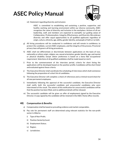

vii) Statement regarding diversity and inclusion:

ASEC is committed to establishing and sustaining a positive, supportive, and healthy working and learning environment within our diverse community. ASEC recognizes the value of diversity and inclusion in the workplace. Actions of all our leadership, staff, and members are expected to exemplify our guiding values of Collaboration, Professionalism, Integrity, Effectiveness, and Diversity. We embrace diversity and offer equal opportunities to all qualified applicants regardless of origin, culture, ethnicity, age, ability, gender identity, and people of faith or no faith.

- g) All hiring procedures will be conducted in confidence and will remain in confidence, to protect the candidate, current ASEC employees, and the integrity of the process. Provincial privacy laws will govern all hiring procedures.
- h) ASEC shall not differentiate or discriminate between applications on the basis of race, nationality or ethnic origin, religion, sex, sexual orientation, gender identity, age, and mental or physical disability except where preference is based on a bona fide occupational requirement. Selections of all qualified candidates shall be made based on merit.
- i) Prior to the commencement of the interview period, criteria for short listing the applications will be developed based on the position profile. Candidates will be short listed and evaluated against these criteria.
- j) The Executive Director shall coordinate the scheduling of interviews which shall commence following the preparation of a short list of candidates.
- k) The Executive Director will complete a check of references and a criminal record check for all new permanent employees.
- l) Immediately following the approval of the successful candidate, the Executive Director shall notify both the successful candidate and unsuccessful candidates who were interviewed of the result. The extent of this notification for unsuccessful candidates will be that the position has been filled, and no additional details will be released.
- m) The successful candidate will be given an offer of employment signed by the Executive Director. A copy signed by the candidate will be retained in the ASEC Home office records.

#### **48) Compensation & Benefits**

- a) Compensation shall be based on prevailing evidence and market comparables.
- b) Pay rate for permanent staff are determined using relevant statistics for the non-profit sector in Alberta:
	- i) Type of Non-Profit;
	- ii) Position Seniority/Level;
	- iii) Employment Status;
	- iv) Region;
	- v) Jurisdiction;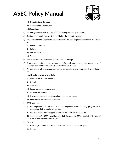

- vi) Organizational Revenue;
- vii) Number of Employees, and;
- viii) Education.
- c) An average annual salary shall be calculated using the above parameters.
- d) Starting salary shall be no less than 15% below the calculated average.
- e) An annual cost of living adjustment between 1% 5% shall be granted each fiscal year based on:
	- i) Financial capacity;
	- ii) Inflation;
	- iii) Performance, and;
	- iv) Tenure.
- f) Annual pay rates will be capped at 15% above the average.
- g) A reassessment of the market average salary for a role may be completed upon request of the employee or once every three years, whichever is greater.
- h) All permanent, full-time employees qualify for benefits after a three-month probationary period.
- i) Health and Dental benefits include:
	- i) Extended health care benefits;
	- ii) Dental;
	- iii) Critical illness;
	- iv) Employee assistance program;
	- v) Disability insurance;
	- vi) Life/accidental death and dismemberment insurance, and;
	- vii) \$500 annual health spending account.
- j) RRSP Matching:
	- i) An employee may participate in the employee RRSP matching program after completing their probationary period.
	- ii) RRSP matching shall be capped at \$85/pay period (\$2,040 annual cap).
	- iii) An employee's RRSP matching cap shall increase by \$5/pay period each year of employment beyond their first year.
- k) Parking:
	- i) A parking space will be provided for all full-time permanent employees.
- l) Cell Phone: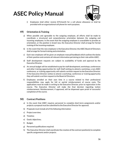

i) Employees shall either receive \$75/month for a cell phone allowance or shall be provided with an organizational cell phone for work purposes.

### **49) Orientation & Training**

- a) When possible and agreeable to the outgoing employee, all efforts shall be made to coordinate a structured and comprehensive orientation between the outgoing and incoming employees. In the event that the outgoing employee is unavailable to provide an orientation, or the position is brand new, the Executive Director shall arrange for formal training of the incoming employee.
- b) In the event that the new employee is the Executive Director, the ASEC Board of Directors shall arrange for formal training and orientation.
- c) Each new employee will be given an employee manual/handbook which outlines the duties of their position and contains all relevant information pertaining to their role within ASEC.
- d) Staff development requests are subject to availability of funds and approval by the Executive Director.
- e) An annual budget will be established to pay for staff development, workshops, conferences and other training opportunities for staff. Staff wishing to attend a workshop, a non-ASEC conference, or training opportunity will submit a written request to the Executive Director. If the Executive Director wishes to attend a workshop, conference or training opportunity they will submit a written request to the Board of Directors.
- f) Employees enrolled on their own time in a course related to their professional responsibilities may apply for full or partial reimbursement of course costs. The applications must be made in writing to the Executive Director, prior to registration in the course. The Executive Director will make the final decision regarding tuition reimbursement. Reimbursement, if approved, will be dispensed upon proof of successful completion of the course.

#### **50) Contract Positions**

- a) In the event that ASEC requires personnel to complete short-term assignments and/or projects a proposal must be submitted to the Executive Director for approval.
- b) Proposals must include all of the following information:
- c) Project overview;
- d) Timeline;
- e) Goals/ objectives;
- f) Budget;
- g) Personnel qualifications required.
- h) The Executive Director shall coordinate the creation of the contract position(s) to complete specific assignments and/or projects.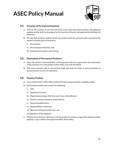

### **51) Creation of Permanent Positions**

- a) Prior to the creation of any new full-time or part-time permanent position, the proposed position profile shall be developed by the Executive Director and approved by the Board of Directors.
- b) All new staff positions shall be hired in accordance with the same principles outlined in this manual including, but not limited to:
	- i) Recruitment;
	- ii) New Employee Selection, and;
	- iii) Employee Orientation and Training.

#### **52) Elimination of Permanent Positions**

- a) Upon the written recommendation of the Executive Director, approval for the elimination of the existence of a staff position within ASEC rests with the Board.
- b) This policy pertains only to the position itself, and shall not relate to the termination of personnel prior to contract expiration.

#### **53) Position Profiles**

- a) Every staff function within ASEC shall be directed and governed by a position profile.
- b) Each position profile shall contain the following:
	- i) Title;
	- ii) Reporting structure;
	- iii) Organizational status (full-time, part-time, extraordinary);
	- iv) Position summary (purpose, expectations);
	- v) Required qualifications;
	- vi) Responsibilities and duties;
	- vii) Signature of Executive Director; and
	- viii) Signature of the employee.
- c) The Executive Director will ensure that the employee receives a copy of the position profile, and that a copy is filed in the registered ASEC Home office.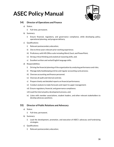

### **54) Director of Operations and Finance**

- a) Status:
	- i) Full-time, permanent.
- b) Summary:
	- i) Ensure financial, regulatory, and governance compliance, while developing policy, operational planning, and program delivery.
- c) Qualifications:
	- i) Relevant postsecondary education;
	- ii) One to three years relevant prior working experience;
	- iii) Proficiency with MS Office suite including Word, Excel, and PowerPoint;
	- iv) Strong critical thinking and analytical reasoning skills, and;
	- v) Excellent written and verbal English language skills.
- d) Responsibilities:
	- i) Driving the financial planning of the organization by analyzing performance and risks;
	- ii) Manage daily bookkeeping entries and regular accounting cycle process;
	- iii) Oversee accounting and finance personnel;
	- iv) Oversee all audit and internal controls;
	- v) Prepare timely and detailed reports on financial performance;
	- vi) Conduct analysis to make forecasts and report to upper management;
	- vii) Ensure regulatory, financial, and governance compliance;
	- viii) Lead the internal policy development process, and;
	- ix) Liaise with member associations, student leaders, and other relevant stakeholders to develop advocacy positions.

### **55) Director of Public Relations and Advocacy**

- a) Status:
	- i) Full-time, permanent.
- b) Summary:
	- i) Lead the development, promotion, and execution of ASEC's advocacy and fundraising strategies.
- c) Qualifications:
	- i) Relevant postsecondary education;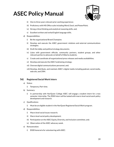

- ii) One to three years relevant prior working experience;
- iii) Proficiency with MS Office suite including Word, Excel, and PowerPoint;
- iv) Strong critical thinking and analytical reasoning skills, and;
- v) Excellent written and verbal English language skills.
- d) Responsibilities:
	- i) Be the organizational Brand Champion;
	- ii) Develop and execute the ASEC government relations and external communications strategies;
	- iii) Draft the lobby and political strategy documents;
	- iv) Liaise with government officials, community partners, student groups, and other relevant parties to advocate on behalf of Alberta students;
	- v) Create and coordinate all organizational press releases and media availabilities;
	- vi) Develop and execute the ASEC fundraising strategy;
	- vii) Oversee digital communications personnel, and;
	- viii) Develop, distribute, and maintain ASEC's digital media including podcast, social media, web site, and CRM.

### **56) Registered Social Work Intern**

- a) Status:
	- i) Temporary, Part-time.
- b) Summary:
	- i) In partnership with NorQuest College ASEC will engage a student intern for a two semester internship. The RSW Intern will be tasked with macro-level social work policy development and research.
- c) Qualifications:
	- i) Must be an eligible student in the NorQuest Registered Social Work program.
- d) Responsibilities:
	- i) Macro level social issues research;
	- ii) Macro level social policy development;
	- iii) Participation on the ASEC Equity, Diversity, and Inclusion committee, and;
	- iv) Observation of the ASEC advocacy week.
- e) Remuneration:
	- i) \$500 honoraria for volunteering with ASEC.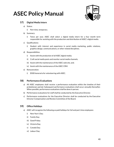

### **57) Digital Media Intern**

- a) Status:
	- i) Part-time, temporary.
- b) Summary:
	- i) Twice per year, ASEC shall select a digital media intern for a four month term responsible for assisting with the production and distribution of ASEC's digital media.
- c) Qualifications:
	- i) Student with interest and experience in social media marketing, public relations, graphics design, communications, or other related disciplines.
- d) Responsibilities:
	- i) Assist with the production of all ASEC digital media;
	- ii) Craft social media posts and monitor social media channels;
	- iii) Assist with the maintenance of the ASEC web site, and;
	- iv) Assist with the maintenance of the ASEC CRM.
- e) Remuneration:
	- i) \$500 honoraria for volunteering with ASEC.

#### **58) Performance Evaluations**

- a) All ASEC employees shall receive a performance evaluation within the timeline of their probationary period. Subsequent performance evaluations shall occur annually thereafter. When possible, performance evaluations shall be done in person.
- b) Performance evaluations for staff shall be conducted by the Executive Director.
- c) Performance evaluations for the Executive Director shall be conducted by the Executive Director Compensation and Review Committee of the Board.

### **59) Office Holidays**

- a) ASEC will recognize the following as paid holidays for full and part-time employees:
	- i) New Year's Day;
	- ii) Family Day;
	- iii) Good Friday;
	- iv) Victoria Day;
	- v) Canada Day;
	- vi) Labour Day;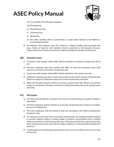

- vii) Civic Holiday (First Monday of August);
- viii) Thanksgiving;
- ix) Remembrance Day;
- x) Christmas Day;
- xi) Boxing Day;
- xii) Any other workday which is proclaimed as a paid public holiday by the Federal or provincial government.
- b) An employee who requests a day off to observe a religious holiday may be granted such leave. Notice of leave for staff members shall be submitted to the Executive Director. Notice of leave for the Executive Director shall be submitted to the Board of Directors.

#### **60) Vacation Leave**

- a) A full-time staff member within ASEC shall be entitled to a minimum vacation pay rate of 6%.
- b) Full-time employees who have worked with ASEC for three (3) continuous years shall receive an increase of 2% to their vacation pay rate.
- c) A part-time staff member within ASEC shall be entitled to a 4% vacation pay rate.
- d) Employees wishing to use their vacation leave will do so by written request to the Executive Director at least ten (10) business days prior to the vacation leave start date.
- e) When the Executive Director wishes to use their vacation leave they will do so by written request to the Board of Directors at least ten (10) business days prior to the vacation leave start date.

#### **61) Sick Leave**

- a) Sick leave shall be defined as absence from work as a result of illness or accident (visible or nonvisible).
- b) Full-time employees shall be entitled to six (6) days of paid leave due to illness or accident, per year of employment.
- c) Part-time employees shall be entitled to paid sick according to the Alberta Employment Standards Code.
- d) For absences of more than three consecutive business days, the employee shall be required to provide medical evidence of being unable to perform normal duties from a certified medical practitioner to the Executive Director. If the Executive Director requires more than three consecutive business days off, the medical evidence is to be provided to the Board of Directors.
- e) A paid holiday occurring during a period of sick leave is to be recorded as such and not a day of sick leave.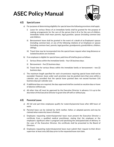

### **62) Special Leave**

- a) For purposes of determining eligibility for special leave the following provisions shall apply:
	- i) Leave for serious illness of an immediate family shall be granted for the purpose of making arrangements for the care of the person that is ill or for the care of children. Immediate family shall mean parents, legal guardian, spouse (including common law) and children;
	- ii) Bereavement leave shall be granted in the event of a death of an Employee's spouse (including common-law), or any of the following relations of an Employee or spouse (including common-law), parents, legal guardian, grandparents, grandchildren, children, siblings.
	- iii) Travel time may be incorporated into the special leave request when long distances or isolated locations are involved.
- b) If an employee is eligible for special leave, paid time off shall be given as follows:
	- i) Serious illness within the immediate family four (4) business days;
	- ii) Bereavement five (5) business days;
	- iii) Travel time for serious illness within the immediate family or bereavement two (2) business days.
- c) The maximum length specified for each circumstance requiring special leave shall not be exceeded. However, leave under each provision may be granted more than once within a calendar year, provided that the special leave granted does not exceed fourteen (14) business days per calendar year.
- d) If additional days are required, the days approved shall be counted as vacation days or leave of absence without pay.
- e) All other time off must be approved by the Executive Director in advance. It is up to the discretion of the Executive Director to grant time off with or without pay.

### **63) Parental Leave**

- a) All full and part-time employees qualify for maternity/parental leave after 600 hours of work.
- b) Parental leave can be claimed by: birth mother, father, or adopted parents and may be claimed when maternity leave is finished.
- c) Employees requesting maternity/parental leave must present the Executive Director a certificate from a qualified medical practitioner, stating that the employee or the employee's significant other is pregnant and specifying the anticipated date of delivery. In the case of the Executive Director, the certificate shall be presented to the Board of Directors.
- d) Employees requesting maternity/parental leave must submit their request to their direct supervisor at least sixty (60) days prior to the requested leave start date.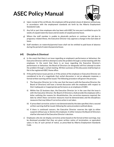

- e) Upon receipt of the certificate, the employee will be granted a leave of absence without pay, in accordance with the employment standards set forth by the Alberta Employment Standards Code.
- f) Any full or part time employee who has been with ASEC for one year is entitled to up to 16 weeks of unpaid maternity leave and 62 weeks of unpaid parental leave.
- g) Where the staff member is unable to physically perform or continue her job due to pregnancy related illness, the Executive Director may approve a change in the start date of leave.
- h) Staff members on maternity/parental leave shall not be entitled to paid leave of absence during the period of maternity/parental leave.

#### **64) Discipline & Dismissal**

- a) In the event that there is an issue regarding an employee's performance or behaviour, the Executive Director will first attempt to solve the problem through a verbal meeting with the employee. In the event that there is an issue regarding the Executive Director's performance or behaviour, the Board of Directors (or designate) will first attempt to solve the problem through a verbal meeting. Written summary of this discussion shall be kept on file in the registered ASEC Home office.
- b) If the performance issues persist, or if the actions of the employee or Executive Director are considered to be of a magnitude that verbal discussion is not an adequate response, a formal written warning will be issued. The following procedure will govern the process:
	- i) The Executive Director (or in the case that the issue is with the Executive Director, the Board of Directors) will have a formal discussion with the employee with respect to their inadequate or inappropriate performance as an employee of ASEC.
	- ii) Within five (5) business days, the Executive Director (or in the case that the issue is with the Executive Director, the Board of Directors,) shall provide the employee with a letter outlining the reasons for dissatisfaction, the corrective measures required, the date by which these corrective measures must be demonstrated, and the disciplinary measures that may follow if corrective action is not taken.
	- iii) If prescribed corrective action is not demonstrated by the date specified, then a second written warning shall be issued, following the same procedure outlined above.
	- iv) If there is continued concern, the Executive Director reserves the right to either suspend without pay or dismiss the employee. In either instance the Board of Directors shall be informed of the Executive Director's decision.
- c) Employees who do not display corrective action based on the formal written warnings, may be dismissed provided that they are given written notice of termination, or equivalent salary in lieu of such period of notice, as prescribed by Alberta Employment Standards Code.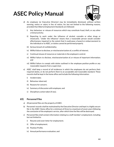

- d) An employee (or Executive Director) may be immediately dismissed, without written warning, notice or salary in lieu of notice, for, but not limited to the following reasons, provided that Alberta Employment Standards are followed:
	- i) Any behaviour or misuse of resources which may constitute fraud, theft, or any other criminal activity;
	- ii) Reporting to work under the influence of alcohol, cannabis or other drugs or intoxicants. "Under the influence" means that a reasonable person would consider effectiveness impaired to the extent that it could pose a hazard or embarrassment to the individual or to ASEC, or duties cannot be performed properly.
	- iii) Serious breach of confidentiality;
	- iv) Willful failure to disclose, or mischaracterization of, a conflict of interest;
	- v) Continual misuse of resources or materials in the employee's control;
	- vi) Willful failure to disclose, mischaracterization of, or misuse of important information; and
	- vii) Willful failure to comply with duties outlined in the employee position profile or any reasonable requests from a supervisor.
- e) ASEC shall keep a record of all incidences in which the employees do not perform their required duties, or do not perform them to an acceptable and reasonable standard. These records shall be kept in the home office and include the following information:
	- i) Incident date;
	- ii) Behaviour observed;
	- iii) Reasons for concern;
	- iv) Summary of discussion with employee; and
	- v) Disciplinary action taken (if any).

#### **65) Personnel Files**

- a) All personnel files are the property of ASEC.
- b) Personnel records shall be maintained by the Executive Director and kept in a highly secure file in the ASEC Home office for a minimum of three to a maximum of seven years following the conclusion of the employee's service, after which time the files will be destroyed.
- c) Personnel files shall contain information relating to a staff member's employment, including but not limited to:
	- i) Resume and cover letter for employment;
	- ii) Offer of employment;
	- iii) Position Profile;
	- iv) Annual performance evaluation; and